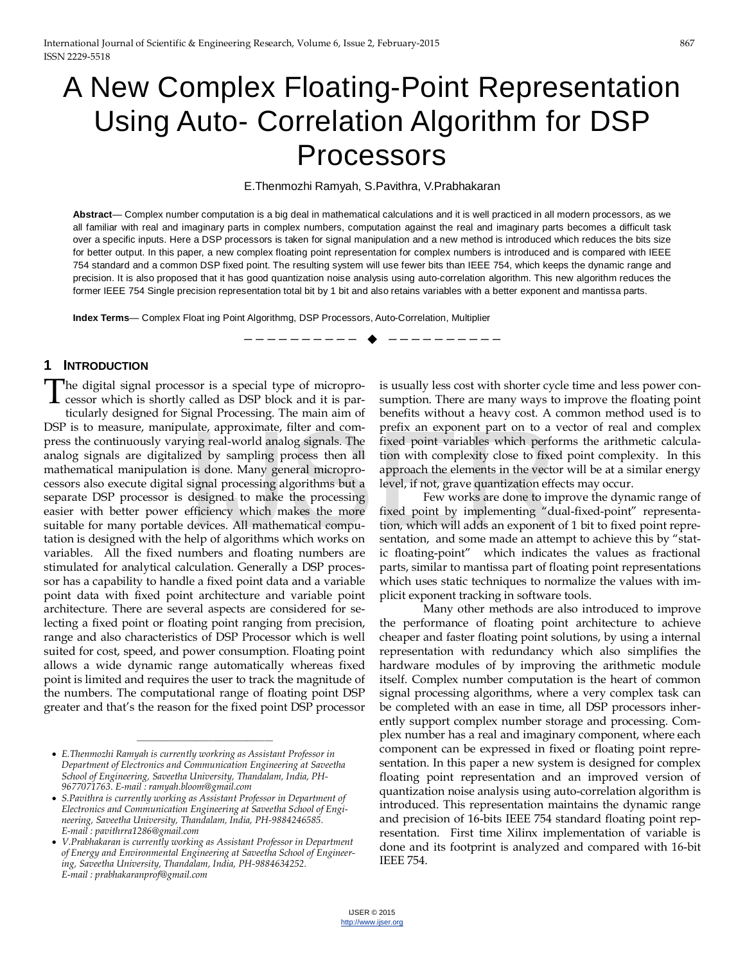# A New Complex Floating-Point Representation Using Auto- Correlation Algorithm for DSP Processors

E.Thenmozhi Ramyah, S.Pavithra, V.Prabhakaran

**Abstract**— Complex number computation is a big deal in mathematical calculations and it is well practiced in all modern processors, as we all familiar with real and imaginary parts in complex numbers, computation against the real and imaginary parts becomes a difficult task over a specific inputs. Here a DSP processors is taken for signal manipulation and a new method is introduced which reduces the bits size for better output. In this paper, a new complex floating point representation for complex numbers is introduced and is compared with IEEE 754 standard and a common DSP fixed point. The resulting system will use fewer bits than IEEE 754, which keeps the dynamic range and precision. It is also proposed that it has good quantization noise analysis using auto-correlation algorithm. This new algorithm reduces the former IEEE 754 Single precision representation total bit by 1 bit and also retains variables with a better exponent and mantissa parts.

—————————— ——————————

**Index Terms**— Complex Float ing Point Algorithmg, DSP Processors, Auto-Correlation, Multiplier

#### **1 INTRODUCTION**

he digital signal processor is a special type of micropro-The digital signal processor is a special type of microprocessor which is shortly called as DSP block and it is par-

ticularly designed for Signal Processing. The main aim of DSP is to measure, manipulate, approximate, filter and compress the continuously varying real-world analog signals. The analog signals are digitalized by sampling process then all mathematical manipulation is done. Many general microprocessors also execute digital signal processing algorithms but a separate DSP processor is designed to make the processing easier with better power efficiency which makes the more suitable for many portable devices. All mathematical computation is designed with the help of algorithms which works on variables. All the fixed numbers and floating numbers are stimulated for analytical calculation. Generally a DSP processor has a capability to handle a fixed point data and a variable point data with fixed point architecture and variable point architecture. There are several aspects are considered for selecting a fixed point or floating point ranging from precision, range and also characteristics of DSP Processor which is well suited for cost, speed, and power consumption. Floating point allows a wide dynamic range automatically whereas fixed point is limited and requires the user to track the magnitude of the numbers. The computational range of floating point DSP greater and that's the reason for the fixed point DSP processor mate, approximate, their and com-<br>
ing real-world analog signals. The fixed point variables which performed<br>
Level, if we are is done. Many general micropro-<br>
is done. Many general micropro-<br>
signal processing algorithms b

————————————————

is usually less cost with shorter cycle time and less power consumption. There are many ways to improve the floating point benefits without a heavy cost. A common method used is to prefix an exponent part on to a vector of real and complex fixed point variables which performs the arithmetic calculation with complexity close to fixed point complexity. In this approach the elements in the vector will be at a similar energy level, if not, grave quantization effects may occur.

Few works are done to improve the dynamic range of fixed point by implementing "dual-fixed-point" representation, which will adds an exponent of 1 bit to fixed point representation, and some made an attempt to achieve this by "static floating-point" which indicates the values as fractional parts, similar to mantissa part of floating point representations which uses static techniques to normalize the values with implicit exponent tracking in software tools.

Many other methods are also introduced to improve the performance of floating point architecture to achieve cheaper and faster floating point solutions, by using a internal representation with redundancy which also simplifies the hardware modules of by improving the arithmetic module itself. Complex number computation is the heart of common signal processing algorithms, where a very complex task can be completed with an ease in time, all DSP processors inherently support complex number storage and processing. Complex number has a real and imaginary component, where each component can be expressed in fixed or floating point representation. In this paper a new system is designed for complex floating point representation and an improved version of quantization noise analysis using auto-correlation algorithm is introduced. This representation maintains the dynamic range and precision of 16-bits IEEE 754 standard floating point representation. First time Xilinx implementation of variable is done and its footprint is analyzed and compared with 16-bit IEEE 754.

<sup>•</sup> *E.Thenmozhi Ramyah is currently workring as Assistant Professor in Department of Electronics and Communication Engineering at Saveetha School of Engineering, Saveetha University, Thandalam, India, PH-9677071763. E-mail : ramyah.bloom@gmail.com* 

<sup>•</sup> *S.Pavithra is currently working as Assistant Professor in Department of Electronics and Communication Engineering at Saveetha School of Engineering, Saveetha University, Thandalam, India, PH-9884246585. E-mail : pavithrra1286@gmail.com* 

<sup>•</sup> *V.Prabhakaran is currently working as Assistant Professor in Department of Energy and Environmental Engineering at Saveetha School of Engineering, Saveetha University, Thandalam, India, PH-9884634252. E-mail : prabhakaranprof@gmail.com*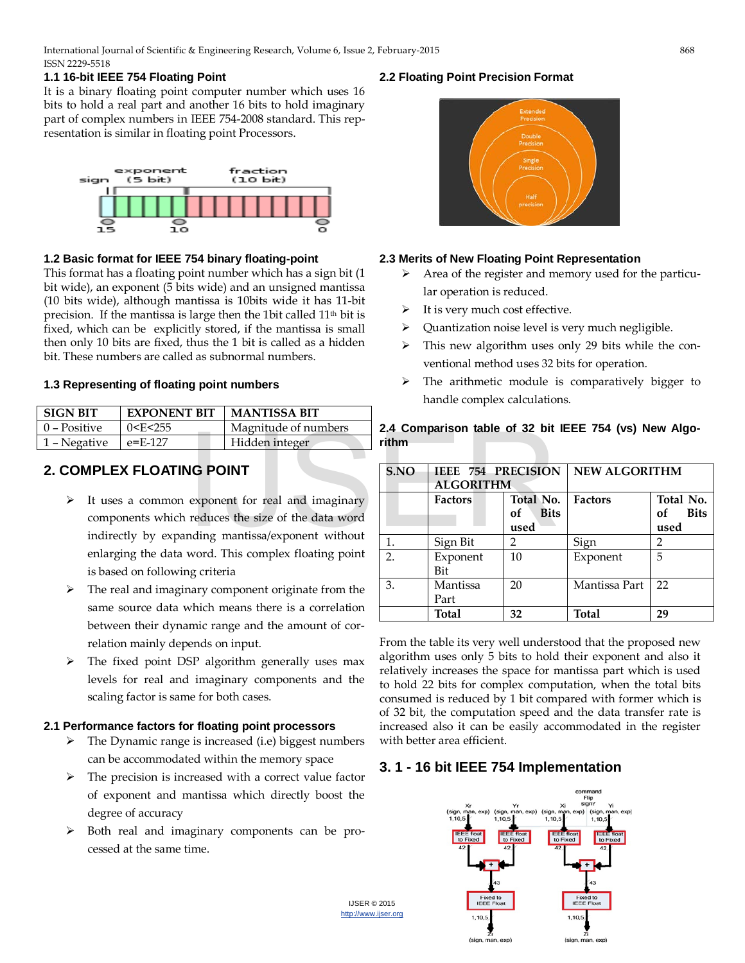#### **1.1 16-bit IEEE 754 Floating Point**

It is a binary floating point computer number which uses 16 bits to hold a real part and another 16 bits to hold imaginary part of complex numbers in IEEE 754-2008 standard. This representation is similar in floating point Processors.



#### **1.2 Basic format for IEEE 754 binary floating-point**

This format has a floating point number which has a sign bit (1 bit wide), an exponent (5 bits wide) and an unsigned mantissa (10 bits wide), although mantissa is 10bits wide it has 11-bit precision. If the mantissa is large then the 1bit called 11<sup>th</sup> bit is fixed, which can be explicitly stored, if the mantissa is small then only 10 bits are fixed, thus the 1 bit is called as a hidden bit. These numbers are called as subnormal numbers.

#### **1.3 Representing of floating point numbers**

| <b>SIGN BIT</b> | <b>EXPONENT BIT</b>                                      | <b>MANTISSA BIT</b>  |  |  |
|-----------------|----------------------------------------------------------|----------------------|--|--|
| 0 – Positive    | l 0 <e<255< td=""><td>Magnitude of numbers</td></e<255<> | Magnitude of numbers |  |  |
| 1 – Negative    | $e = F - 127$                                            | Hidden integer       |  |  |

# **2. COMPLEX FLOATING POINT**

- $\triangleright$  It uses a common exponent for real and imaginary components which reduces the size of the data word indirectly by expanding mantissa/exponent without enlarging the data word. This complex floating point is based on following criteria
- $\triangleright$  The real and imaginary component originate from the same source data which means there is a correlation between their dynamic range and the amount of correlation mainly depends on input.
- > The fixed point DSP algorithm generally uses max levels for real and imaginary components and the scaling factor is same for both cases.

#### **2.1 Performance factors for floating point processors**

- The Dynamic range is increased (i.e) biggest numbers can be accommodated within the memory space
- $\triangleright$  The precision is increased with a correct value factor of exponent and mantissa which directly boost the degree of accuracy
- $\triangleright$  Both real and imaginary components can be processed at the same time.

#### **2.2 Floating Point Precision Format**



#### **2.3 Merits of New Floating Point Representation**

- $\triangleright$  Area of the register and memory used for the particular operation is reduced.
- $\triangleright$  It is very much cost effective.
- $\triangleright$  Quantization noise level is very much negligible.
- $\triangleright$  This new algorithm uses only 29 bits while the conventional method uses 32 bits for operation.
- $\triangleright$  The arithmetic module is comparatively bigger to handle complex calculations.

#### **2.4 Comparison table of 32 bit IEEE 754 (vs) New Algorithm**

| Magnitude of numbers               | 2.4 Comparison table of 32 bit IEEE 754 (VS) New Algo- |                                               |                           |                      |                           |
|------------------------------------|--------------------------------------------------------|-----------------------------------------------|---------------------------|----------------------|---------------------------|
| Hidden integer                     | rithm                                                  |                                               |                           |                      |                           |
| <b>NG POINT</b>                    | S.NO                                                   | <b>IEEE 754 PRECISION</b><br><b>ALGORITHM</b> |                           | <b>NEW ALGORITHM</b> |                           |
| exponent for real and imaginary    |                                                        | <b>Factors</b>                                | Total No.                 | <b>Factors</b>       | Total No.                 |
| reduces the size of the data word  |                                                        |                                               | <b>Bits</b><br>of<br>used |                      | <b>Bits</b><br>of<br>used |
| nding mantissa/exponent without    | $\mathbf{1}$ .                                         | Sign Bit                                      | $\mathcal{P}$             | Sign                 | $\mathcal{P}$             |
| word. This complex floating point  | $\overline{2}$ .                                       | Exponent                                      | 10                        | Exponent             | 5                         |
| ng criteria                        |                                                        | Bit                                           |                           |                      |                           |
| nary component originate from the  | 3.                                                     | Mantissa                                      | 20                        | Mantissa Part        | 22                        |
| which means there is a correlation |                                                        | Part                                          |                           |                      |                           |
|                                    |                                                        | <b>Total</b>                                  | 32                        | <b>Total</b>         | 29                        |

From the table its very well understood that the proposed new algorithm uses only 5 bits to hold their exponent and also it relatively increases the space for mantissa part which is used to hold 22 bits for complex computation, when the total bits consumed is reduced by 1 bit compared with former which is of 32 bit, the computation speed and the data transfer rate is increased also it can be easily accommodated in the register with better area efficient.

# **3. 1 - 16 bit IEEE 754 Implementation**

IJSER © 2015 [http://www.ijser.org](http://www.ijser.org/)

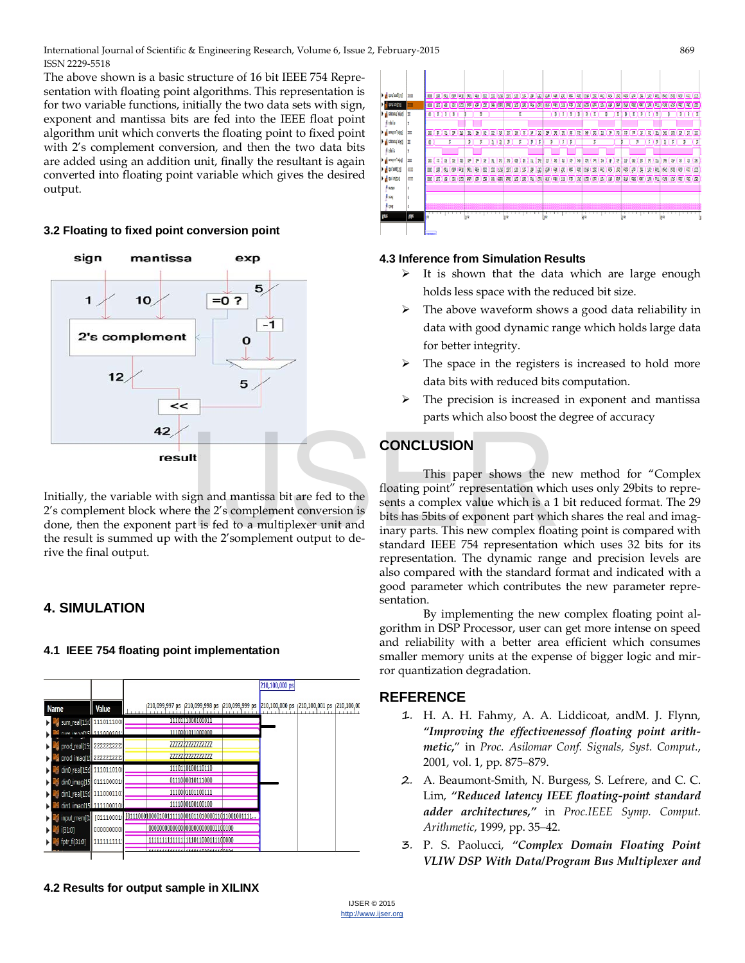International Journal of Scientific & Engineering Research, Volume 6, Issue 2, February-2015 869 ISSN 2229-5518

The above shown is a basic structure of 16 bit IEEE 754 Representation with floating point algorithms. This representation is for two variable functions, initially the two data sets with sign, exponent and mantissa bits are fed into the IEEE float point algorithm unit which converts the floating point to fixed point with 2's complement conversion, and then the two data bits are added using an addition unit, finally the resultant is again converted into floating point variable which gives the desired output.

#### **3.2 Floating to fixed point conversion point**



Initially, the variable with sign and mantissa bit are fed to the 2's complement block where the 2's complement conversion is done, then the exponent part is fed to a multiplexer unit and the result is summed up with the 2'somplement output to derive the final output.

## **4. SIMULATION**

#### **4.1 IEEE 754 floating point implementation**





### **4.3 Inference from Simulation Results**

- $\triangleright$  It is shown that the data which are large enough holds less space with the reduced bit size.
- $\triangleright$  The above waveform shows a good data reliability in data with good dynamic range which holds large data for better integrity.
- $\triangleright$  The space in the registers is increased to hold more data bits with reduced bits computation.
- $\triangleright$  The precision is increased in exponent and mantissa parts which also boost the degree of accuracy

## **CONCLUSION**

This paper shows the new method for "Complex floating point" representation which uses only 29bits to represents a complex value which is a 1 bit reduced format. The 29 bits has 5bits of exponent part which shares the real and imaginary parts. This new complex floating point is compared with standard IEEE 754 representation which uses 32 bits for its representation. The dynamic range and precision levels are also compared with the standard format and indicated with a good parameter which contributes the new parameter representation. **CONCLUSION**<br>
This paper shows the n<br>
ign and mantissa bit are fed to the<br>
the 2's complement conversion is<br>
the 2's complement conversion is<br>
the 2's complement conversion is<br>
the 2's complement output to de-<br>
the 2's com

> By implementing the new complex floating point algorithm in DSP Processor, user can get more intense on speed and reliability with a better area efficient which consumes smaller memory units at the expense of bigger logic and mirror quantization degradation.

#### **REFERENCE**

- 1. H. A. H. Fahmy, A. A. Liddicoat, andM. J. Flynn, *"Improving the effectivenessof floating point arithmetic,*" in *Proc. Asilomar Conf. Signals, Syst. Comput.*, 2001, vol. 1, pp. 875–879.
- 2. A. Beaumont-Smith, N. Burgess, S. Lefrere, and C. C. Lim, *"Reduced latency IEEE floating-point standard adder architectures,"* in *Proc.IEEE Symp. Comput. Arithmetic*, 1999, pp. 35–42.
- 3. P. S. Paolucci, *"Complex Domain Floating Point VLIW DSP With Data/Program Bus Multiplexer and*

**4.2 Results for output sample in XILINX**